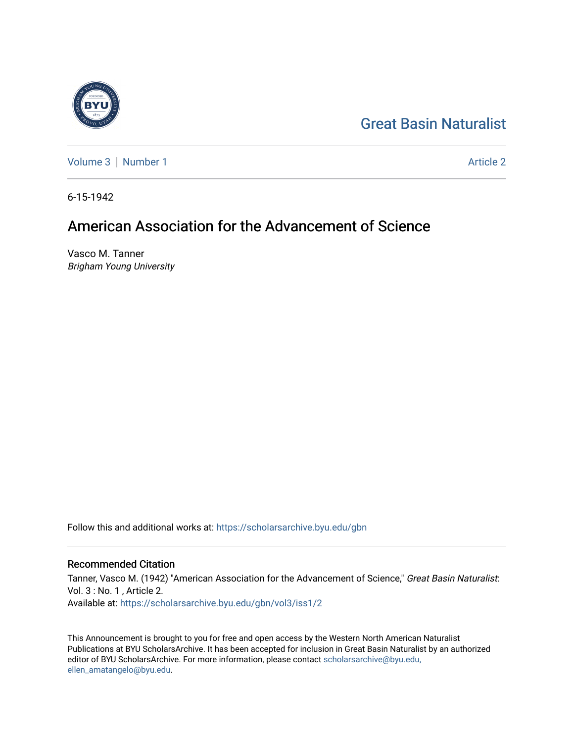## [Great Basin Naturalist](https://scholarsarchive.byu.edu/gbn)

[Volume 3](https://scholarsarchive.byu.edu/gbn/vol3) | [Number 1](https://scholarsarchive.byu.edu/gbn/vol3/iss1) Article 2

6-15-1942

## American Association for the Advancement of Science

Vasco M. Tanner Brigham Young University

Follow this and additional works at: [https://scholarsarchive.byu.edu/gbn](https://scholarsarchive.byu.edu/gbn?utm_source=scholarsarchive.byu.edu%2Fgbn%2Fvol3%2Fiss1%2F2&utm_medium=PDF&utm_campaign=PDFCoverPages) 

## Recommended Citation

Tanner, Vasco M. (1942) "American Association for the Advancement of Science," Great Basin Naturalist: Vol. 3 : No. 1 , Article 2. Available at: [https://scholarsarchive.byu.edu/gbn/vol3/iss1/2](https://scholarsarchive.byu.edu/gbn/vol3/iss1/2?utm_source=scholarsarchive.byu.edu%2Fgbn%2Fvol3%2Fiss1%2F2&utm_medium=PDF&utm_campaign=PDFCoverPages) 

This Announcement is brought to you for free and open access by the Western North American Naturalist Publications at BYU ScholarsArchive. It has been accepted for inclusion in Great Basin Naturalist by an authorized editor of BYU ScholarsArchive. For more information, please contact [scholarsarchive@byu.edu,](mailto:scholarsarchive@byu.edu,%20ellen_amatangelo@byu.edu) [ellen\\_amatangelo@byu.edu](mailto:scholarsarchive@byu.edu,%20ellen_amatangelo@byu.edu).